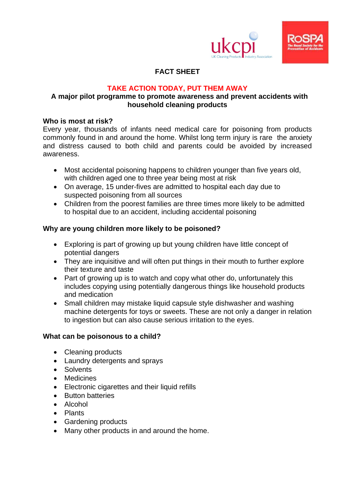



# **FACT SHEET**

## **TAKE ACTION TODAY, PUT THEM AWAY**

## **A major pilot programme to promote awareness and prevent accidents with household cleaning products**

## **Who is most at risk?**

Every year, thousands of infants need medical care for poisoning from products commonly found in and around the home. Whilst long term injury is rare the anxiety and distress caused to both child and parents could be avoided by increased awareness.

- Most accidental poisoning happens to children younger than five years old, with children aged one to three year being most at risk
- On average, 15 under-fives are admitted to hospital each day due to suspected poisoning from all sources
- Children from the poorest families are three times more likely to be admitted to hospital due to an accident, including accidental poisoning

## **Why are young children more likely to be poisoned?**

- Exploring is part of growing up but young children have little concept of potential dangers
- They are inquisitive and will often put things in their mouth to further explore their texture and taste
- Part of growing up is to watch and copy what other do, unfortunately this includes copying using potentially dangerous things like household products and medication
- Small children may mistake liquid capsule style dishwasher and washing machine detergents for toys or sweets. These are not only a danger in relation to ingestion but can also cause serious irritation to the eyes.

## **What can be poisonous to a child?**

- Cleaning products
- Laundry detergents and sprays
- **•** Solvents
- Medicines
- Electronic cigarettes and their liquid refills
- **•** Button batteries
- Alcohol
- Plants
- Gardening products
- Many other products in and around the home.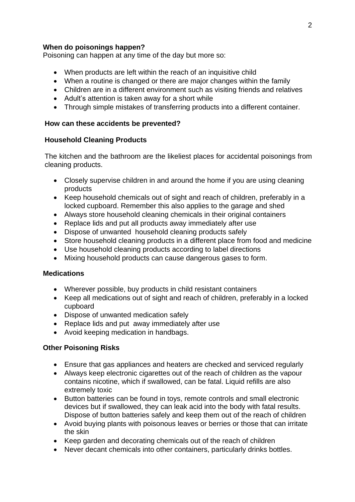## **When do poisonings happen?**

Poisoning can happen at any time of the day but more so:

- When products are left within the reach of an inquisitive child
- When a routine is changed or there are major changes within the family
- Children are in a different environment such as visiting friends and relatives
- Adult's attention is taken away for a short while
- Through simple mistakes of transferring products into a different container.

## **How can these accidents be prevented?**

#### **Household Cleaning Products**

The kitchen and the bathroom are the likeliest places for accidental poisonings from cleaning products.

- Closely supervise children in and around the home if you are using cleaning products
- Keep household chemicals out of sight and reach of children, preferably in a locked cupboard. Remember this also applies to the garage and shed
- Always store household cleaning chemicals in their original containers
- Replace lids and put all products away immediately after use
- Dispose of unwanted household cleaning products safely
- Store household cleaning products in a different place from food and medicine
- Use household cleaning products according to label directions
- Mixing household products can cause dangerous gases to form.

#### **Medications**

- Wherever possible, buy products in child resistant containers
- Keep all medications out of sight and reach of children, preferably in a locked cupboard
- Dispose of unwanted medication safely
- Replace lids and put away immediately after use
- Avoid keeping medication in handbags.

## **Other Poisoning Risks**

- Ensure that gas appliances and heaters are checked and serviced regularly
- Always keep electronic cigarettes out of the reach of children as the vapour contains nicotine, which if swallowed, can be fatal. Liquid refills are also extremely toxic
- Button batteries can be found in toys, remote controls and small electronic devices but if swallowed, they can leak acid into the body with fatal results. Dispose of button batteries safely and keep them out of the reach of children
- Avoid buying plants with poisonous leaves or berries or those that can irritate the skin
- Keep garden and decorating chemicals out of the reach of children
- Never decant chemicals into other containers, particularly drinks bottles.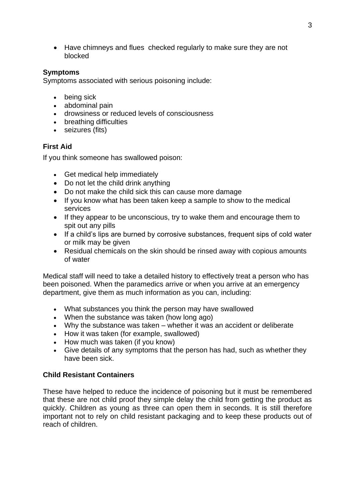• Have chimneys and flues checked regularly to make sure they are not blocked

## **Symptoms**

Symptoms associated with serious poisoning include:

- being sick
- abdominal pain
- drowsiness or reduced levels of consciousness
- breathing difficulties
- seizures (fits)

## **First Aid**

If you think someone has swallowed poison:

- Get medical help immediately
- Do not let the child drink anything
- Do not make the child sick this can cause more damage
- If you know what has been taken keep a sample to show to the medical services
- If they appear to be unconscious, try to wake them and encourage them to spit out any pills
- If a child's lips are burned by corrosive substances, frequent sips of cold water or milk may be given
- Residual chemicals on the skin should be rinsed away with copious amounts of water

Medical staff will need to take a detailed history to effectively treat a person who has been poisoned. When the paramedics arrive or when you arrive at an emergency department, give them as much information as you can, including:

- What substances you think the person may have swallowed
- When the substance was taken (how long ago)
- Why the substance was taken whether it was an accident or deliberate
- How it was taken (for example, swallowed)
- How much was taken (if you know)
- Give details of any symptoms that the person has had, such as whether they have been sick.

## **Child Resistant Containers**

These have helped to reduce the incidence of poisoning but it must be remembered that these are not child proof they simple delay the child from getting the product as quickly. Children as young as three can open them in seconds. It is still therefore important not to rely on child resistant packaging and to keep these products out of reach of children.